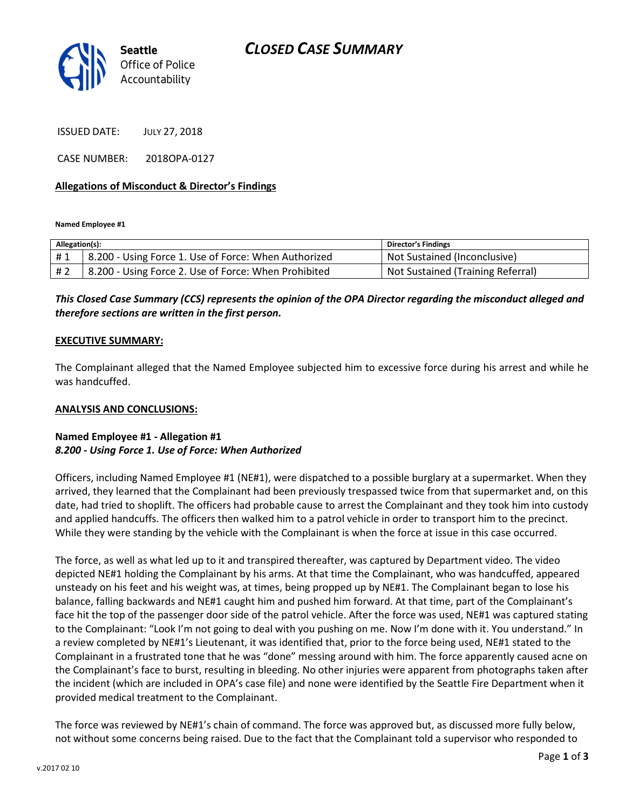

ISSUED DATE: JULY 27, 2018

CASE NUMBER: 2018OPA-0127

### Allegations of Misconduct & Director's Findings

Named Employee #1

| Allegation(s): |                                                      | <b>Director's Findings</b>        |
|----------------|------------------------------------------------------|-----------------------------------|
| #1             | 8.200 - Using Force 1. Use of Force: When Authorized | Not Sustained (Inconclusive)      |
| #2             | 8.200 - Using Force 2. Use of Force: When Prohibited | Not Sustained (Training Referral) |

## This Closed Case Summary (CCS) represents the opinion of the OPA Director regarding the misconduct alleged and therefore sections are written in the first person.

#### EXECUTIVE SUMMARY:

The Complainant alleged that the Named Employee subjected him to excessive force during his arrest and while he was handcuffed.

### ANALYSIS AND CONCLUSIONS:

## Named Employee #1 - Allegation #1 8.200 - Using Force 1. Use of Force: When Authorized

Officers, including Named Employee #1 (NE#1), were dispatched to a possible burglary at a supermarket. When they arrived, they learned that the Complainant had been previously trespassed twice from that supermarket and, on this date, had tried to shoplift. The officers had probable cause to arrest the Complainant and they took him into custody and applied handcuffs. The officers then walked him to a patrol vehicle in order to transport him to the precinct. While they were standing by the vehicle with the Complainant is when the force at issue in this case occurred.

The force, as well as what led up to it and transpired thereafter, was captured by Department video. The video depicted NE#1 holding the Complainant by his arms. At that time the Complainant, who was handcuffed, appeared unsteady on his feet and his weight was, at times, being propped up by NE#1. The Complainant began to lose his balance, falling backwards and NE#1 caught him and pushed him forward. At that time, part of the Complainant's face hit the top of the passenger door side of the patrol vehicle. After the force was used, NE#1 was captured stating to the Complainant: "Look I'm not going to deal with you pushing on me. Now I'm done with it. You understand." In a review completed by NE#1's Lieutenant, it was identified that, prior to the force being used, NE#1 stated to the Complainant in a frustrated tone that he was "done" messing around with him. The force apparently caused acne on the Complainant's face to burst, resulting in bleeding. No other injuries were apparent from photographs taken after the incident (which are included in OPA's case file) and none were identified by the Seattle Fire Department when it provided medical treatment to the Complainant.

The force was reviewed by NE#1's chain of command. The force was approved but, as discussed more fully below, not without some concerns being raised. Due to the fact that the Complainant told a supervisor who responded to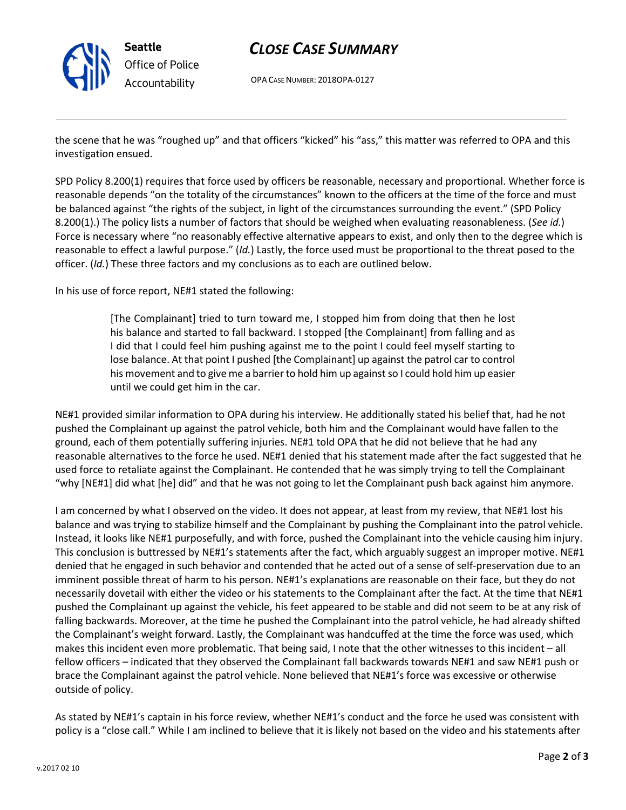

Seattle Office of Police Accountability

# CLOSE CASE SUMMARY

OPA CASE NUMBER: 2018OPA-0127

the scene that he was "roughed up" and that officers "kicked" his "ass," this matter was referred to OPA and this investigation ensued.

SPD Policy 8.200(1) requires that force used by officers be reasonable, necessary and proportional. Whether force is reasonable depends "on the totality of the circumstances" known to the officers at the time of the force and must be balanced against "the rights of the subject, in light of the circumstances surrounding the event." (SPD Policy 8.200(1).) The policy lists a number of factors that should be weighed when evaluating reasonableness. (See id.) Force is necessary where "no reasonably effective alternative appears to exist, and only then to the degree which is reasonable to effect a lawful purpose." (Id.) Lastly, the force used must be proportional to the threat posed to the officer. (Id.) These three factors and my conclusions as to each are outlined below.

In his use of force report, NE#1 stated the following:

[The Complainant] tried to turn toward me, I stopped him from doing that then he lost his balance and started to fall backward. I stopped [the Complainant] from falling and as I did that I could feel him pushing against me to the point I could feel myself starting to lose balance. At that point I pushed [the Complainant] up against the patrol car to control his movement and to give me a barrier to hold him up against so I could hold him up easier until we could get him in the car.

NE#1 provided similar information to OPA during his interview. He additionally stated his belief that, had he not pushed the Complainant up against the patrol vehicle, both him and the Complainant would have fallen to the ground, each of them potentially suffering injuries. NE#1 told OPA that he did not believe that he had any reasonable alternatives to the force he used. NE#1 denied that his statement made after the fact suggested that he used force to retaliate against the Complainant. He contended that he was simply trying to tell the Complainant "why [NE#1] did what [he] did" and that he was not going to let the Complainant push back against him anymore.

I am concerned by what I observed on the video. It does not appear, at least from my review, that NE#1 lost his balance and was trying to stabilize himself and the Complainant by pushing the Complainant into the patrol vehicle. Instead, it looks like NE#1 purposefully, and with force, pushed the Complainant into the vehicle causing him injury. This conclusion is buttressed by NE#1's statements after the fact, which arguably suggest an improper motive. NE#1 denied that he engaged in such behavior and contended that he acted out of a sense of self-preservation due to an imminent possible threat of harm to his person. NE#1's explanations are reasonable on their face, but they do not necessarily dovetail with either the video or his statements to the Complainant after the fact. At the time that NE#1 pushed the Complainant up against the vehicle, his feet appeared to be stable and did not seem to be at any risk of falling backwards. Moreover, at the time he pushed the Complainant into the patrol vehicle, he had already shifted the Complainant's weight forward. Lastly, the Complainant was handcuffed at the time the force was used, which makes this incident even more problematic. That being said, I note that the other witnesses to this incident – all fellow officers – indicated that they observed the Complainant fall backwards towards NE#1 and saw NE#1 push or brace the Complainant against the patrol vehicle. None believed that NE#1's force was excessive or otherwise outside of policy.

As stated by NE#1's captain in his force review, whether NE#1's conduct and the force he used was consistent with policy is a "close call." While I am inclined to believe that it is likely not based on the video and his statements after